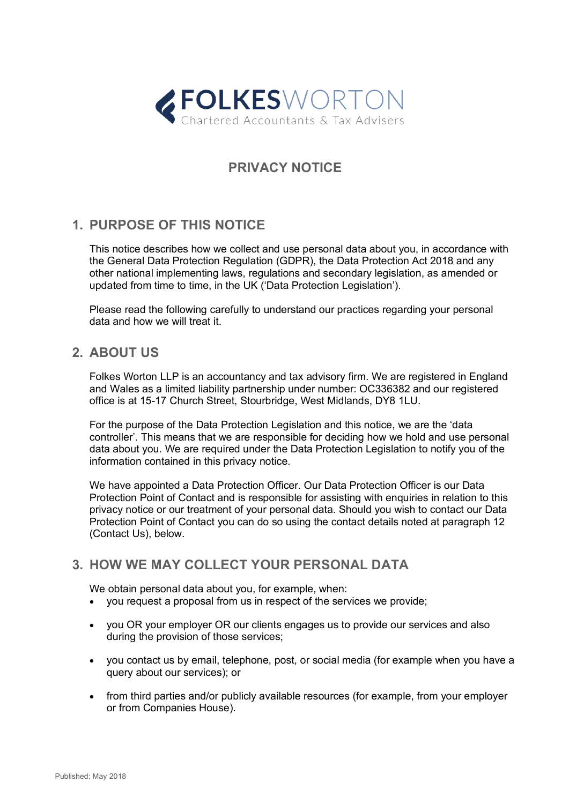

# **PRIVACY NOTICE**

## **1. PURPOSE OF THIS NOTICE**

This notice describes how we collect and use personal data about you, in accordance with the General Data Protection Regulation (GDPR), the Data Protection Act 2018 and any other national implementing laws, regulations and secondary legislation, as amended or updated from time to time, in the UK ('Data Protection Legislation').

Please read the following carefully to understand our practices regarding your personal data and how we will treat it.

### **2. ABOUT US**

Folkes Worton LLP is an accountancy and tax advisory firm. We are registered in England and Wales as a limited liability partnership under number: OC336382 and our registered office is at 15-17 Church Street, Stourbridge, West Midlands, DY8 1LU.

For the purpose of the Data Protection Legislation and this notice, we are the 'data controller'. This means that we are responsible for deciding how we hold and use personal data about you. We are required under the Data Protection Legislation to notify you of the information contained in this privacy notice.

We have appointed a Data Protection Officer. Our Data Protection Officer is our Data Protection Point of Contact and is responsible for assisting with enquiries in relation to this privacy notice or our treatment of your personal data. Should you wish to contact our Data Protection Point of Contact you can do so using the contact details noted at paragraph 12 (Contact Us), below.

## **3. HOW WE MAY COLLECT YOUR PERSONAL DATA**

We obtain personal data about you, for example, when:

- you request a proposal from us in respect of the services we provide;
- you OR your employer OR our clients engages us to provide our services and also during the provision of those services;
- you contact us by email, telephone, post, or social media (for example when you have a query about our services); or
- from third parties and/or publicly available resources (for example, from your employer or from Companies House).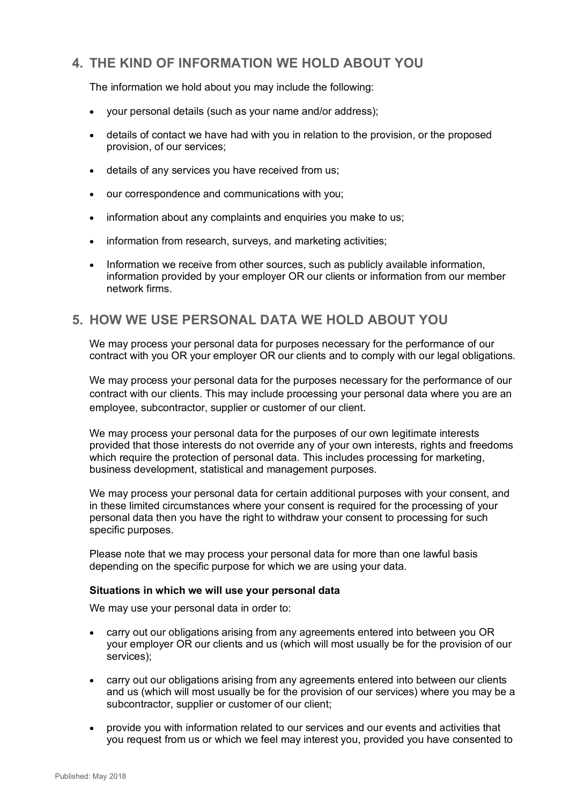## **4. THE KIND OF INFORMATION WE HOLD ABOUT YOU**

The information we hold about you may include the following:

- your personal details (such as your name and/or address);
- details of contact we have had with you in relation to the provision, or the proposed provision, of our services;
- details of any services you have received from us;
- our correspondence and communications with you;
- information about any complaints and enquiries you make to us;
- information from research, surveys, and marketing activities;
- Information we receive from other sources, such as publicly available information, information provided by your employer OR our clients or information from our member network firms.

## **5. HOW WE USE PERSONAL DATA WE HOLD ABOUT YOU**

We may process your personal data for purposes necessary for the performance of our contract with you OR your employer OR our clients and to comply with our legal obligations.

We may process your personal data for the purposes necessary for the performance of our contract with our clients. This may include processing your personal data where you are an employee, subcontractor, supplier or customer of our client.

We may process your personal data for the purposes of our own legitimate interests provided that those interests do not override any of your own interests, rights and freedoms which require the protection of personal data. This includes processing for marketing, business development, statistical and management purposes.

We may process your personal data for certain additional purposes with your consent, and in these limited circumstances where your consent is required for the processing of your personal data then you have the right to withdraw your consent to processing for such specific purposes.

Please note that we may process your personal data for more than one lawful basis depending on the specific purpose for which we are using your data.

#### **Situations in which we will use your personal data**

We may use your personal data in order to:

- carry out our obligations arising from any agreements entered into between you OR your employer OR our clients and us (which will most usually be for the provision of our services);
- carry out our obligations arising from any agreements entered into between our clients and us (which will most usually be for the provision of our services) where you may be a subcontractor, supplier or customer of our client;
- provide you with information related to our services and our events and activities that you request from us or which we feel may interest you, provided you have consented to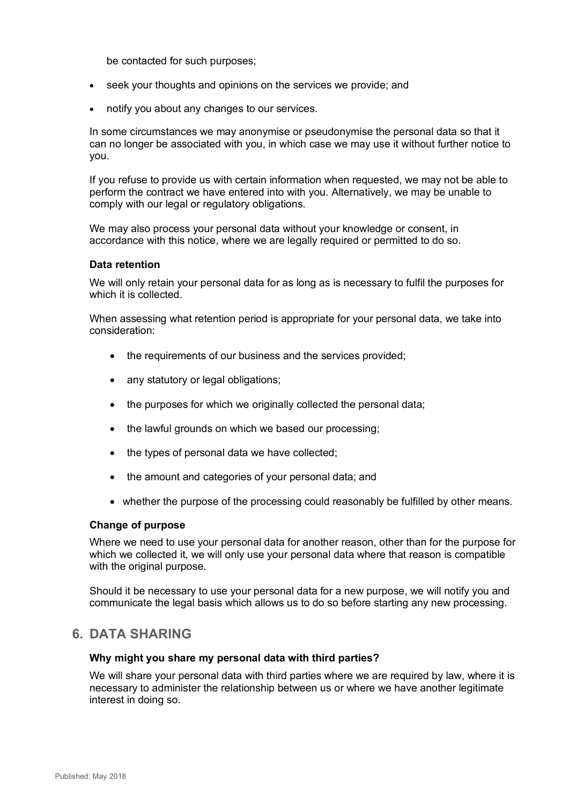be contacted for such purposes;

- seek your thoughts and opinions on the services we provide; and
- notify you about any changes to our services.

In some circumstances we may anonymise or pseudonymise the personal data so that it can no longer be associated with you, in which case we may use it without further notice to you.

If you refuse to provide us with certain information when requested, we may not be able to perform the contract we have entered into with you. Alternatively, we may be unable to comply with our legal or regulatory obligations.

We may also process your personal data without your knowledge or consent, in accordance with this notice, where we are legally required or permitted to do so.

#### **Data retention**

We will only retain your personal data for as long as is necessary to fulfil the purposes for which it is collected.

When assessing what retention period is appropriate for your personal data, we take into consideration:

- the requirements of our business and the services provided;
- any statutory or legal obligations;
- the purposes for which we originally collected the personal data;
- the lawful grounds on which we based our processing:
- the types of personal data we have collected:
- the amount and categories of your personal data; and
- whether the purpose of the processing could reasonably be fulfilled by other means.

#### **Change of purpose**

Where we need to use your personal data for another reason, other than for the purpose for which we collected it, we will only use your personal data where that reason is compatible with the original purpose.

Should it be necessary to use your personal data for a new purpose, we will notify you and communicate the legal basis which allows us to do so before starting any new processing.

### **6. DATA SHARING**

#### **Why might you share my personal data with third parties?**

We will share your personal data with third parties where we are required by law, where it is necessary to administer the relationship between us or where we have another legitimate interest in doing so.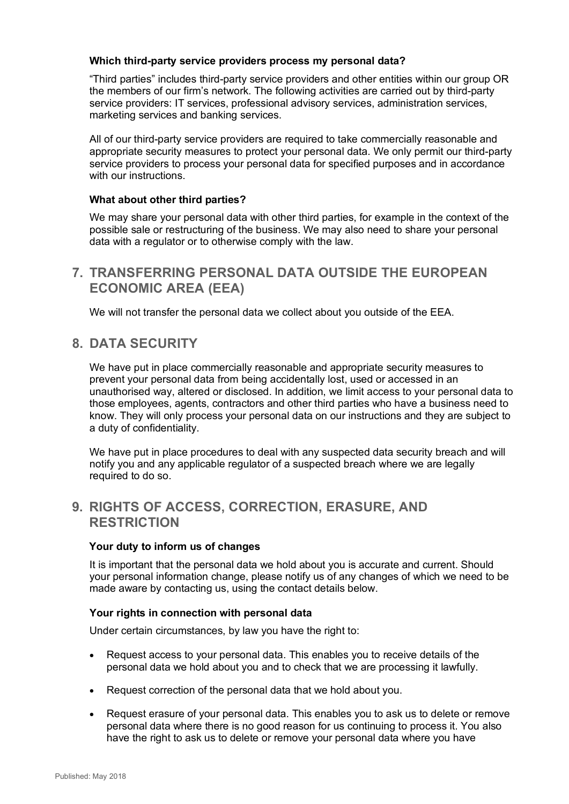#### **Which third-party service providers process my personal data?**

"Third parties" includes third-party service providers and other entities within our group OR the members of our firm's network. The following activities are carried out by third-party service providers: IT services, professional advisory services, administration services, marketing services and banking services.

All of our third-party service providers are required to take commercially reasonable and appropriate security measures to protect your personal data. We only permit our third-party service providers to process your personal data for specified purposes and in accordance with our instructions.

#### **What about other third parties?**

We may share your personal data with other third parties, for example in the context of the possible sale or restructuring of the business. We may also need to share your personal data with a regulator or to otherwise comply with the law.

### **7. TRANSFERRING PERSONAL DATA OUTSIDE THE EUROPEAN ECONOMIC AREA (EEA)**

We will not transfer the personal data we collect about you outside of the EEA.

### **8. DATA SECURITY**

We have put in place commercially reasonable and appropriate security measures to prevent your personal data from being accidentally lost, used or accessed in an unauthorised way, altered or disclosed. In addition, we limit access to your personal data to those employees, agents, contractors and other third parties who have a business need to know. They will only process your personal data on our instructions and they are subject to a duty of confidentiality.

We have put in place procedures to deal with any suspected data security breach and will notify you and any applicable regulator of a suspected breach where we are legally required to do so.

## **9. RIGHTS OF ACCESS, CORRECTION, ERASURE, AND RESTRICTION**

#### **Your duty to inform us of changes**

It is important that the personal data we hold about you is accurate and current. Should your personal information change, please notify us of any changes of which we need to be made aware by contacting us, using the contact details below.

#### **Your rights in connection with personal data**

Under certain circumstances, by law you have the right to:

- Request access to your personal data. This enables you to receive details of the personal data we hold about you and to check that we are processing it lawfully.
- Request correction of the personal data that we hold about you.
- Request erasure of your personal data. This enables you to ask us to delete or remove personal data where there is no good reason for us continuing to process it. You also have the right to ask us to delete or remove your personal data where you have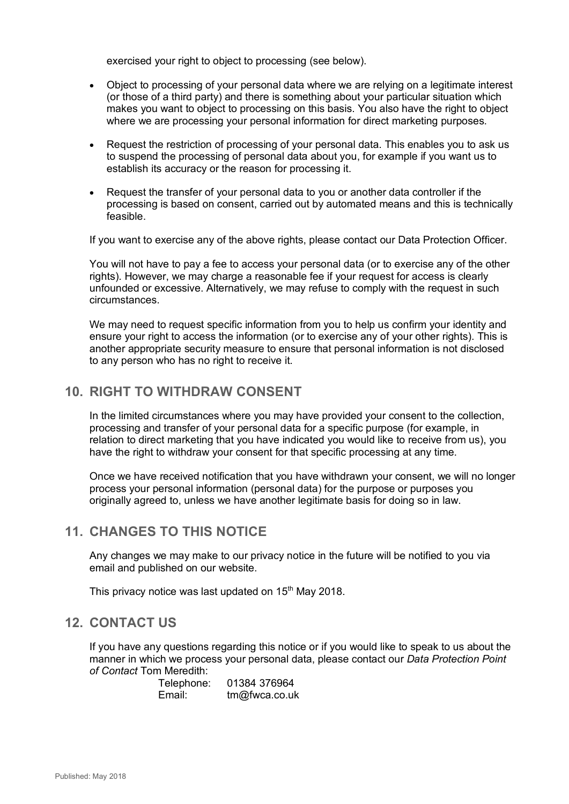exercised your right to object to processing (see below).

- Object to processing of your personal data where we are relying on a legitimate interest (or those of a third party) and there is something about your particular situation which makes you want to object to processing on this basis. You also have the right to object where we are processing your personal information for direct marketing purposes.
- Request the restriction of processing of your personal data. This enables you to ask us to suspend the processing of personal data about you, for example if you want us to establish its accuracy or the reason for processing it.
- Request the transfer of your personal data to you or another data controller if the processing is based on consent, carried out by automated means and this is technically feasible.

If you want to exercise any of the above rights, please contact our Data Protection Officer.

You will not have to pay a fee to access your personal data (or to exercise any of the other rights). However, we may charge a reasonable fee if your request for access is clearly unfounded or excessive. Alternatively, we may refuse to comply with the request in such circumstances.

We may need to request specific information from you to help us confirm your identity and ensure your right to access the information (or to exercise any of your other rights). This is another appropriate security measure to ensure that personal information is not disclosed to any person who has no right to receive it.

### **10. RIGHT TO WITHDRAW CONSENT**

In the limited circumstances where you may have provided your consent to the collection, processing and transfer of your personal data for a specific purpose (for example, in relation to direct marketing that you have indicated you would like to receive from us), you have the right to withdraw your consent for that specific processing at any time.

Once we have received notification that you have withdrawn your consent, we will no longer process your personal information (personal data) for the purpose or purposes you originally agreed to, unless we have another legitimate basis for doing so in law.

## **11. CHANGES TO THIS NOTICE**

Any changes we may make to our privacy notice in the future will be notified to you via email and published on our website.

This privacy notice was last updated on  $15<sup>th</sup>$  May 2018.

### **12. CONTACT US**

If you have any questions regarding this notice or if you would like to speak to us about the manner in which we process your personal data, please contact our *Data Protection Point of Contact* Tom Meredith:

> Telephone: 01384 376964 Email: tm@fwca.co.uk